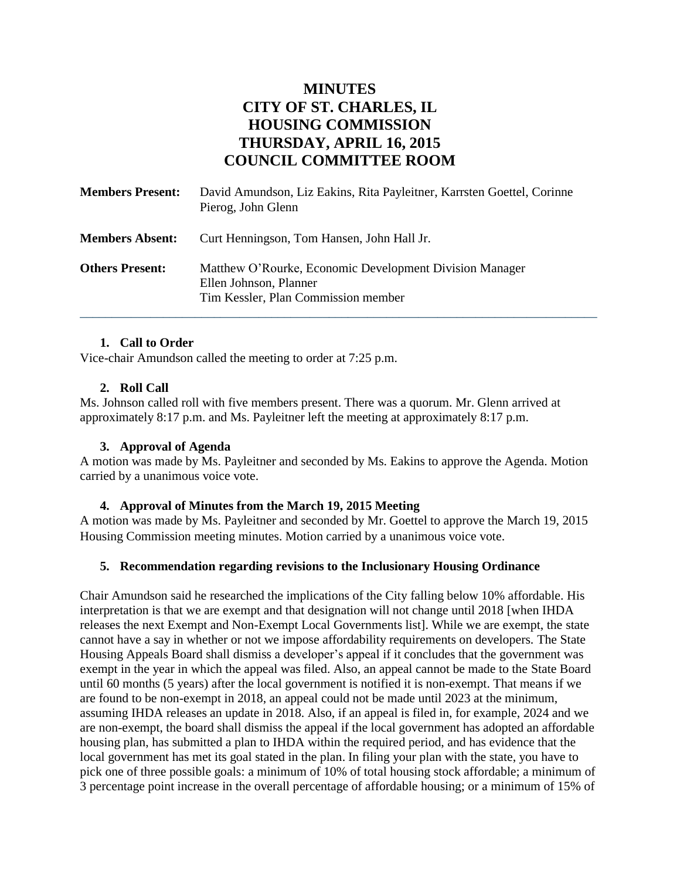# **MINUTES CITY OF ST. CHARLES, IL HOUSING COMMISSION THURSDAY, APRIL 16, 2015 COUNCIL COMMITTEE ROOM**

| <b>Members Present:</b> | David Amundson, Liz Eakins, Rita Payleitner, Karrsten Goettel, Corinne<br>Pierog, John Glenn                             |
|-------------------------|--------------------------------------------------------------------------------------------------------------------------|
| <b>Members Absent:</b>  | Curt Henningson, Tom Hansen, John Hall Jr.                                                                               |
| <b>Others Present:</b>  | Matthew O'Rourke, Economic Development Division Manager<br>Ellen Johnson, Planner<br>Tim Kessler, Plan Commission member |

## **1. Call to Order**

Vice-chair Amundson called the meeting to order at 7:25 p.m.

## **2. Roll Call**

Ms. Johnson called roll with five members present. There was a quorum. Mr. Glenn arrived at approximately 8:17 p.m. and Ms. Payleitner left the meeting at approximately 8:17 p.m.

### **3. Approval of Agenda**

A motion was made by Ms. Payleitner and seconded by Ms. Eakins to approve the Agenda. Motion carried by a unanimous voice vote.

#### **4. Approval of Minutes from the March 19, 2015 Meeting**

A motion was made by Ms. Payleitner and seconded by Mr. Goettel to approve the March 19, 2015 Housing Commission meeting minutes. Motion carried by a unanimous voice vote.

# **5. Recommendation regarding revisions to the Inclusionary Housing Ordinance**

Chair Amundson said he researched the implications of the City falling below 10% affordable. His interpretation is that we are exempt and that designation will not change until 2018 [when IHDA releases the next Exempt and Non-Exempt Local Governments list]. While we are exempt, the state cannot have a say in whether or not we impose affordability requirements on developers. The State Housing Appeals Board shall dismiss a developer's appeal if it concludes that the government was exempt in the year in which the appeal was filed. Also, an appeal cannot be made to the State Board until 60 months (5 years) after the local government is notified it is non-exempt. That means if we are found to be non-exempt in 2018, an appeal could not be made until 2023 at the minimum, assuming IHDA releases an update in 2018. Also, if an appeal is filed in, for example, 2024 and we are non-exempt, the board shall dismiss the appeal if the local government has adopted an affordable housing plan, has submitted a plan to IHDA within the required period, and has evidence that the local government has met its goal stated in the plan. In filing your plan with the state, you have to pick one of three possible goals: a minimum of 10% of total housing stock affordable; a minimum of 3 percentage point increase in the overall percentage of affordable housing; or a minimum of 15% of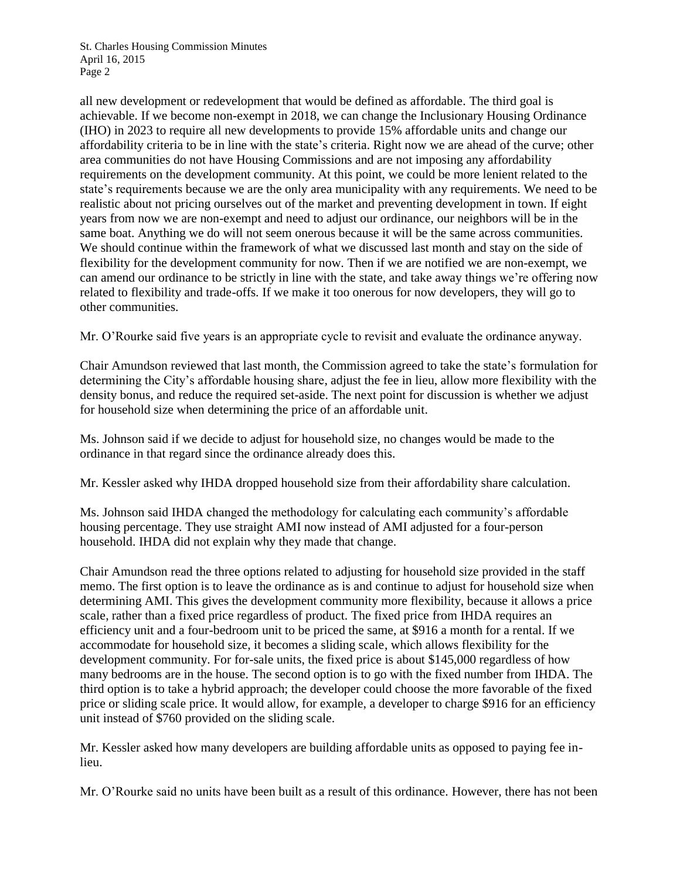all new development or redevelopment that would be defined as affordable. The third goal is achievable. If we become non-exempt in 2018, we can change the Inclusionary Housing Ordinance (IHO) in 2023 to require all new developments to provide 15% affordable units and change our affordability criteria to be in line with the state's criteria. Right now we are ahead of the curve; other area communities do not have Housing Commissions and are not imposing any affordability requirements on the development community. At this point, we could be more lenient related to the state's requirements because we are the only area municipality with any requirements. We need to be realistic about not pricing ourselves out of the market and preventing development in town. If eight years from now we are non-exempt and need to adjust our ordinance, our neighbors will be in the same boat. Anything we do will not seem onerous because it will be the same across communities. We should continue within the framework of what we discussed last month and stay on the side of flexibility for the development community for now. Then if we are notified we are non-exempt, we can amend our ordinance to be strictly in line with the state, and take away things we're offering now related to flexibility and trade-offs. If we make it too onerous for now developers, they will go to other communities.

Mr. O'Rourke said five years is an appropriate cycle to revisit and evaluate the ordinance anyway.

Chair Amundson reviewed that last month, the Commission agreed to take the state's formulation for determining the City's affordable housing share, adjust the fee in lieu, allow more flexibility with the density bonus, and reduce the required set-aside. The next point for discussion is whether we adjust for household size when determining the price of an affordable unit.

Ms. Johnson said if we decide to adjust for household size, no changes would be made to the ordinance in that regard since the ordinance already does this.

Mr. Kessler asked why IHDA dropped household size from their affordability share calculation.

Ms. Johnson said IHDA changed the methodology for calculating each community's affordable housing percentage. They use straight AMI now instead of AMI adjusted for a four-person household. IHDA did not explain why they made that change.

Chair Amundson read the three options related to adjusting for household size provided in the staff memo. The first option is to leave the ordinance as is and continue to adjust for household size when determining AMI. This gives the development community more flexibility, because it allows a price scale, rather than a fixed price regardless of product. The fixed price from IHDA requires an efficiency unit and a four-bedroom unit to be priced the same, at \$916 a month for a rental. If we accommodate for household size, it becomes a sliding scale, which allows flexibility for the development community. For for-sale units, the fixed price is about \$145,000 regardless of how many bedrooms are in the house. The second option is to go with the fixed number from IHDA. The third option is to take a hybrid approach; the developer could choose the more favorable of the fixed price or sliding scale price. It would allow, for example, a developer to charge \$916 for an efficiency unit instead of \$760 provided on the sliding scale.

Mr. Kessler asked how many developers are building affordable units as opposed to paying fee inlieu.

Mr. O'Rourke said no units have been built as a result of this ordinance. However, there has not been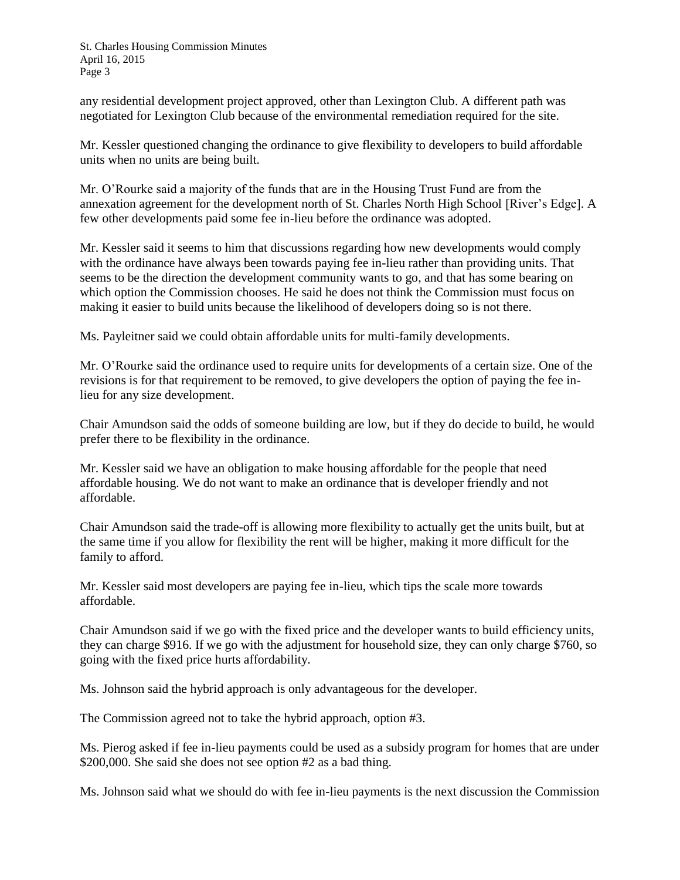any residential development project approved, other than Lexington Club. A different path was negotiated for Lexington Club because of the environmental remediation required for the site.

Mr. Kessler questioned changing the ordinance to give flexibility to developers to build affordable units when no units are being built.

Mr. O'Rourke said a majority of the funds that are in the Housing Trust Fund are from the annexation agreement for the development north of St. Charles North High School [River's Edge]. A few other developments paid some fee in-lieu before the ordinance was adopted.

Mr. Kessler said it seems to him that discussions regarding how new developments would comply with the ordinance have always been towards paying fee in-lieu rather than providing units. That seems to be the direction the development community wants to go, and that has some bearing on which option the Commission chooses. He said he does not think the Commission must focus on making it easier to build units because the likelihood of developers doing so is not there.

Ms. Payleitner said we could obtain affordable units for multi-family developments.

Mr. O'Rourke said the ordinance used to require units for developments of a certain size. One of the revisions is for that requirement to be removed, to give developers the option of paying the fee inlieu for any size development.

Chair Amundson said the odds of someone building are low, but if they do decide to build, he would prefer there to be flexibility in the ordinance.

Mr. Kessler said we have an obligation to make housing affordable for the people that need affordable housing. We do not want to make an ordinance that is developer friendly and not affordable.

Chair Amundson said the trade-off is allowing more flexibility to actually get the units built, but at the same time if you allow for flexibility the rent will be higher, making it more difficult for the family to afford.

Mr. Kessler said most developers are paying fee in-lieu, which tips the scale more towards affordable.

Chair Amundson said if we go with the fixed price and the developer wants to build efficiency units, they can charge \$916. If we go with the adjustment for household size, they can only charge \$760, so going with the fixed price hurts affordability.

Ms. Johnson said the hybrid approach is only advantageous for the developer.

The Commission agreed not to take the hybrid approach, option #3.

Ms. Pierog asked if fee in-lieu payments could be used as a subsidy program for homes that are under \$200,000. She said she does not see option #2 as a bad thing.

Ms. Johnson said what we should do with fee in-lieu payments is the next discussion the Commission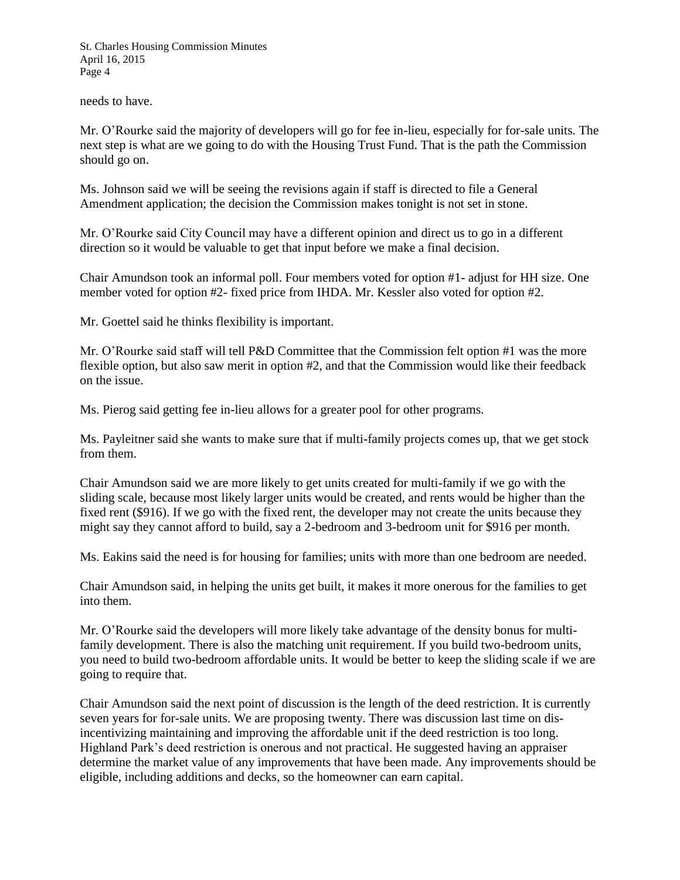needs to have.

Mr. O'Rourke said the majority of developers will go for fee in-lieu, especially for for-sale units. The next step is what are we going to do with the Housing Trust Fund. That is the path the Commission should go on.

Ms. Johnson said we will be seeing the revisions again if staff is directed to file a General Amendment application; the decision the Commission makes tonight is not set in stone.

Mr. O'Rourke said City Council may have a different opinion and direct us to go in a different direction so it would be valuable to get that input before we make a final decision.

Chair Amundson took an informal poll. Four members voted for option #1- adjust for HH size. One member voted for option #2- fixed price from IHDA. Mr. Kessler also voted for option #2.

Mr. Goettel said he thinks flexibility is important.

Mr. O'Rourke said staff will tell P&D Committee that the Commission felt option #1 was the more flexible option, but also saw merit in option #2, and that the Commission would like their feedback on the issue.

Ms. Pierog said getting fee in-lieu allows for a greater pool for other programs.

Ms. Payleitner said she wants to make sure that if multi-family projects comes up, that we get stock from them.

Chair Amundson said we are more likely to get units created for multi-family if we go with the sliding scale, because most likely larger units would be created, and rents would be higher than the fixed rent (\$916). If we go with the fixed rent, the developer may not create the units because they might say they cannot afford to build, say a 2-bedroom and 3-bedroom unit for \$916 per month.

Ms. Eakins said the need is for housing for families; units with more than one bedroom are needed.

Chair Amundson said, in helping the units get built, it makes it more onerous for the families to get into them.

Mr. O'Rourke said the developers will more likely take advantage of the density bonus for multifamily development. There is also the matching unit requirement. If you build two-bedroom units, you need to build two-bedroom affordable units. It would be better to keep the sliding scale if we are going to require that.

Chair Amundson said the next point of discussion is the length of the deed restriction. It is currently seven years for for-sale units. We are proposing twenty. There was discussion last time on disincentivizing maintaining and improving the affordable unit if the deed restriction is too long. Highland Park's deed restriction is onerous and not practical. He suggested having an appraiser determine the market value of any improvements that have been made. Any improvements should be eligible, including additions and decks, so the homeowner can earn capital.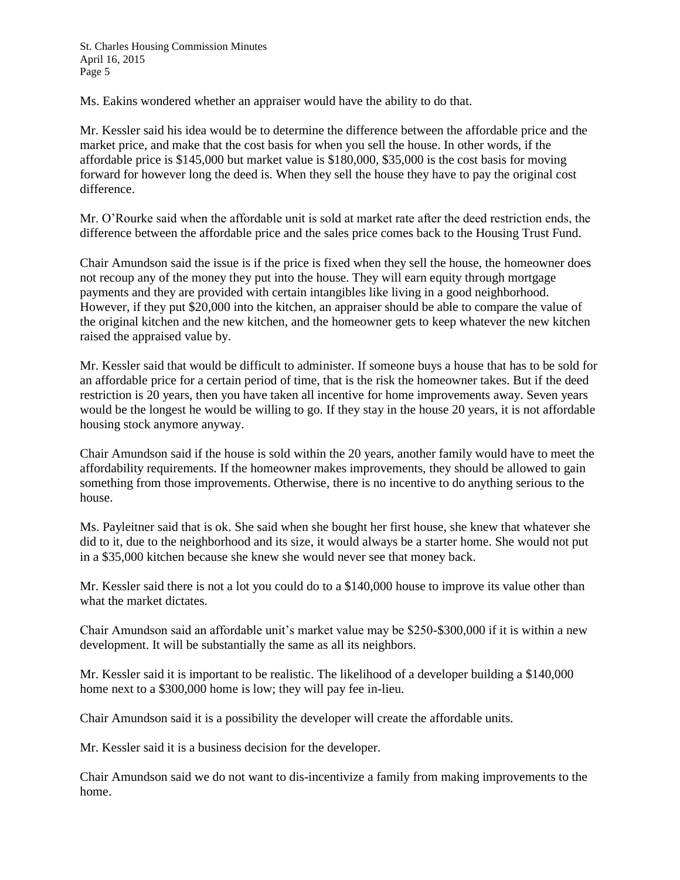Ms. Eakins wondered whether an appraiser would have the ability to do that.

Mr. Kessler said his idea would be to determine the difference between the affordable price and the market price, and make that the cost basis for when you sell the house. In other words, if the affordable price is \$145,000 but market value is \$180,000, \$35,000 is the cost basis for moving forward for however long the deed is. When they sell the house they have to pay the original cost difference.

Mr. O'Rourke said when the affordable unit is sold at market rate after the deed restriction ends, the difference between the affordable price and the sales price comes back to the Housing Trust Fund.

Chair Amundson said the issue is if the price is fixed when they sell the house, the homeowner does not recoup any of the money they put into the house. They will earn equity through mortgage payments and they are provided with certain intangibles like living in a good neighborhood. However, if they put \$20,000 into the kitchen, an appraiser should be able to compare the value of the original kitchen and the new kitchen, and the homeowner gets to keep whatever the new kitchen raised the appraised value by.

Mr. Kessler said that would be difficult to administer. If someone buys a house that has to be sold for an affordable price for a certain period of time, that is the risk the homeowner takes. But if the deed restriction is 20 years, then you have taken all incentive for home improvements away. Seven years would be the longest he would be willing to go. If they stay in the house 20 years, it is not affordable housing stock anymore anyway.

Chair Amundson said if the house is sold within the 20 years, another family would have to meet the affordability requirements. If the homeowner makes improvements, they should be allowed to gain something from those improvements. Otherwise, there is no incentive to do anything serious to the house.

Ms. Payleitner said that is ok. She said when she bought her first house, she knew that whatever she did to it, due to the neighborhood and its size, it would always be a starter home. She would not put in a \$35,000 kitchen because she knew she would never see that money back.

Mr. Kessler said there is not a lot you could do to a \$140,000 house to improve its value other than what the market dictates.

Chair Amundson said an affordable unit's market value may be \$250-\$300,000 if it is within a new development. It will be substantially the same as all its neighbors.

Mr. Kessler said it is important to be realistic. The likelihood of a developer building a \$140,000 home next to a \$300,000 home is low; they will pay fee in-lieu.

Chair Amundson said it is a possibility the developer will create the affordable units.

Mr. Kessler said it is a business decision for the developer.

Chair Amundson said we do not want to dis-incentivize a family from making improvements to the home.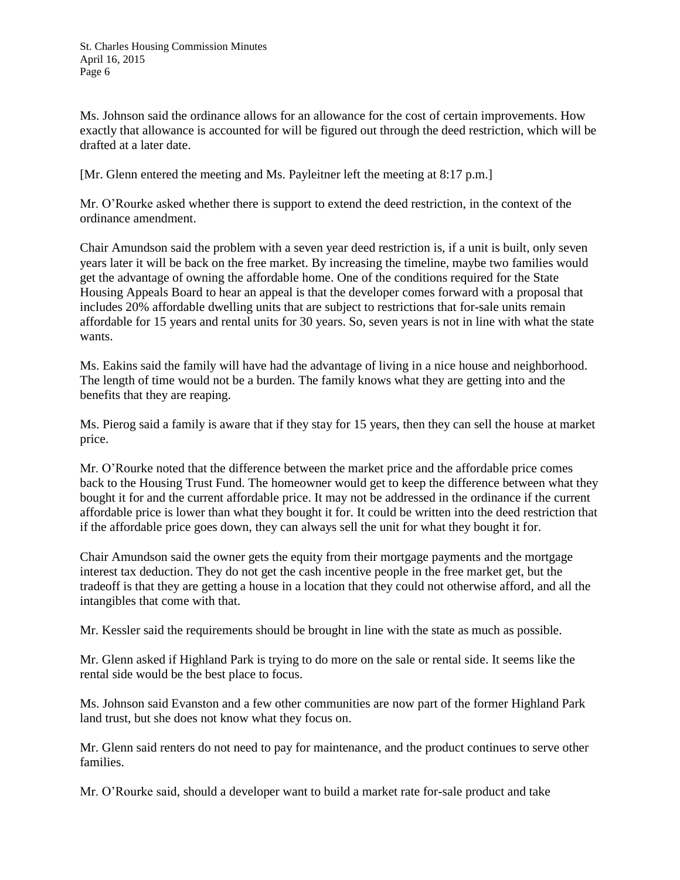Ms. Johnson said the ordinance allows for an allowance for the cost of certain improvements. How exactly that allowance is accounted for will be figured out through the deed restriction, which will be drafted at a later date.

[Mr. Glenn entered the meeting and Ms. Payleitner left the meeting at 8:17 p.m.]

Mr. O'Rourke asked whether there is support to extend the deed restriction, in the context of the ordinance amendment.

Chair Amundson said the problem with a seven year deed restriction is, if a unit is built, only seven years later it will be back on the free market. By increasing the timeline, maybe two families would get the advantage of owning the affordable home. One of the conditions required for the State Housing Appeals Board to hear an appeal is that the developer comes forward with a proposal that includes 20% affordable dwelling units that are subject to restrictions that for-sale units remain affordable for 15 years and rental units for 30 years. So, seven years is not in line with what the state wants.

Ms. Eakins said the family will have had the advantage of living in a nice house and neighborhood. The length of time would not be a burden. The family knows what they are getting into and the benefits that they are reaping.

Ms. Pierog said a family is aware that if they stay for 15 years, then they can sell the house at market price.

Mr. O'Rourke noted that the difference between the market price and the affordable price comes back to the Housing Trust Fund. The homeowner would get to keep the difference between what they bought it for and the current affordable price. It may not be addressed in the ordinance if the current affordable price is lower than what they bought it for. It could be written into the deed restriction that if the affordable price goes down, they can always sell the unit for what they bought it for.

Chair Amundson said the owner gets the equity from their mortgage payments and the mortgage interest tax deduction. They do not get the cash incentive people in the free market get, but the tradeoff is that they are getting a house in a location that they could not otherwise afford, and all the intangibles that come with that.

Mr. Kessler said the requirements should be brought in line with the state as much as possible.

Mr. Glenn asked if Highland Park is trying to do more on the sale or rental side. It seems like the rental side would be the best place to focus.

Ms. Johnson said Evanston and a few other communities are now part of the former Highland Park land trust, but she does not know what they focus on.

Mr. Glenn said renters do not need to pay for maintenance, and the product continues to serve other families.

Mr. O'Rourke said, should a developer want to build a market rate for-sale product and take